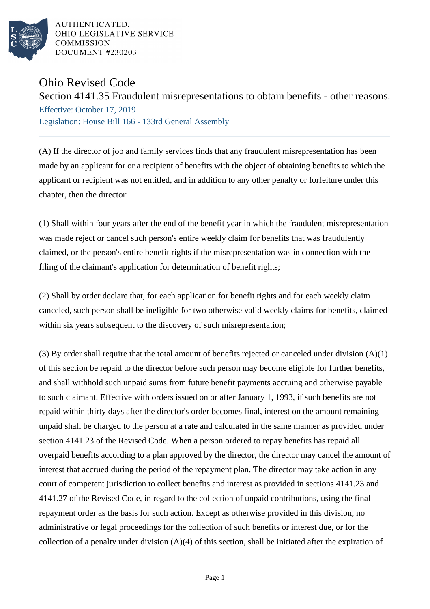

AUTHENTICATED. OHIO LEGISLATIVE SERVICE **COMMISSION DOCUMENT #230203** 

## Ohio Revised Code

Section 4141.35 Fraudulent misrepresentations to obtain benefits - other reasons.

Effective: October 17, 2019 Legislation: House Bill 166 - 133rd General Assembly

(A) If the director of job and family services finds that any fraudulent misrepresentation has been made by an applicant for or a recipient of benefits with the object of obtaining benefits to which the applicant or recipient was not entitled, and in addition to any other penalty or forfeiture under this chapter, then the director:

(1) Shall within four years after the end of the benefit year in which the fraudulent misrepresentation was made reject or cancel such person's entire weekly claim for benefits that was fraudulently claimed, or the person's entire benefit rights if the misrepresentation was in connection with the filing of the claimant's application for determination of benefit rights;

(2) Shall by order declare that, for each application for benefit rights and for each weekly claim canceled, such person shall be ineligible for two otherwise valid weekly claims for benefits, claimed within six years subsequent to the discovery of such misrepresentation;

(3) By order shall require that the total amount of benefits rejected or canceled under division (A)(1) of this section be repaid to the director before such person may become eligible for further benefits, and shall withhold such unpaid sums from future benefit payments accruing and otherwise payable to such claimant. Effective with orders issued on or after January 1, 1993, if such benefits are not repaid within thirty days after the director's order becomes final, interest on the amount remaining unpaid shall be charged to the person at a rate and calculated in the same manner as provided under section 4141.23 of the Revised Code. When a person ordered to repay benefits has repaid all overpaid benefits according to a plan approved by the director, the director may cancel the amount of interest that accrued during the period of the repayment plan. The director may take action in any court of competent jurisdiction to collect benefits and interest as provided in sections 4141.23 and 4141.27 of the Revised Code, in regard to the collection of unpaid contributions, using the final repayment order as the basis for such action. Except as otherwise provided in this division, no administrative or legal proceedings for the collection of such benefits or interest due, or for the collection of a penalty under division  $(A)(4)$  of this section, shall be initiated after the expiration of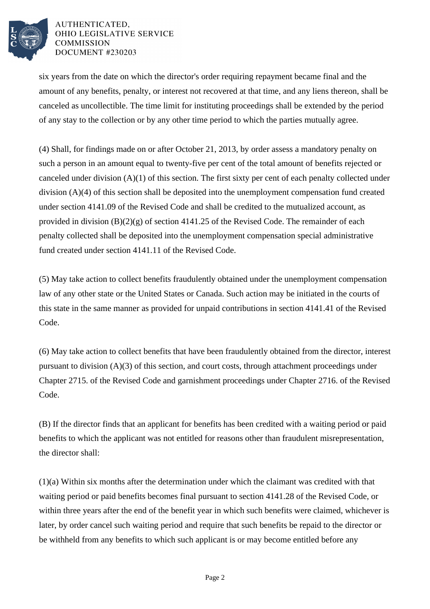

## AUTHENTICATED. OHIO LEGISLATIVE SERVICE **COMMISSION DOCUMENT #230203**

six years from the date on which the director's order requiring repayment became final and the amount of any benefits, penalty, or interest not recovered at that time, and any liens thereon, shall be canceled as uncollectible. The time limit for instituting proceedings shall be extended by the period of any stay to the collection or by any other time period to which the parties mutually agree.

(4) Shall, for findings made on or after October 21, 2013, by order assess a mandatory penalty on such a person in an amount equal to twenty-five per cent of the total amount of benefits rejected or canceled under division (A)(1) of this section. The first sixty per cent of each penalty collected under division (A)(4) of this section shall be deposited into the unemployment compensation fund created under section 4141.09 of the Revised Code and shall be credited to the mutualized account, as provided in division  $(B)(2)(g)$  of section 4141.25 of the Revised Code. The remainder of each penalty collected shall be deposited into the unemployment compensation special administrative fund created under section 4141.11 of the Revised Code.

(5) May take action to collect benefits fraudulently obtained under the unemployment compensation law of any other state or the United States or Canada. Such action may be initiated in the courts of this state in the same manner as provided for unpaid contributions in section 4141.41 of the Revised Code.

(6) May take action to collect benefits that have been fraudulently obtained from the director, interest pursuant to division (A)(3) of this section, and court costs, through attachment proceedings under Chapter 2715. of the Revised Code and garnishment proceedings under Chapter 2716. of the Revised Code.

(B) If the director finds that an applicant for benefits has been credited with a waiting period or paid benefits to which the applicant was not entitled for reasons other than fraudulent misrepresentation, the director shall:

(1)(a) Within six months after the determination under which the claimant was credited with that waiting period or paid benefits becomes final pursuant to section 4141.28 of the Revised Code, or within three years after the end of the benefit year in which such benefits were claimed, whichever is later, by order cancel such waiting period and require that such benefits be repaid to the director or be withheld from any benefits to which such applicant is or may become entitled before any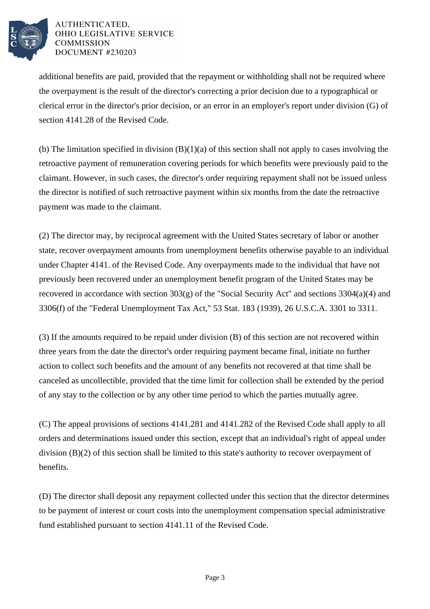

## AUTHENTICATED. OHIO LEGISLATIVE SERVICE **COMMISSION DOCUMENT #230203**

additional benefits are paid, provided that the repayment or withholding shall not be required where the overpayment is the result of the director's correcting a prior decision due to a typographical or clerical error in the director's prior decision, or an error in an employer's report under division (G) of section 4141.28 of the Revised Code.

(b) The limitation specified in division  $(B)(1)(a)$  of this section shall not apply to cases involving the retroactive payment of remuneration covering periods for which benefits were previously paid to the claimant. However, in such cases, the director's order requiring repayment shall not be issued unless the director is notified of such retroactive payment within six months from the date the retroactive payment was made to the claimant.

(2) The director may, by reciprocal agreement with the United States secretary of labor or another state, recover overpayment amounts from unemployment benefits otherwise payable to an individual under Chapter 4141. of the Revised Code. Any overpayments made to the individual that have not previously been recovered under an unemployment benefit program of the United States may be recovered in accordance with section 303(g) of the "Social Security Act" and sections 3304(a)(4) and 3306(f) of the "Federal Unemployment Tax Act," 53 Stat. 183 (1939), 26 U.S.C.A. 3301 to 3311.

(3) If the amounts required to be repaid under division (B) of this section are not recovered within three years from the date the director's order requiring payment became final, initiate no further action to collect such benefits and the amount of any benefits not recovered at that time shall be canceled as uncollectible, provided that the time limit for collection shall be extended by the period of any stay to the collection or by any other time period to which the parties mutually agree.

(C) The appeal provisions of sections 4141.281 and 4141.282 of the Revised Code shall apply to all orders and determinations issued under this section, except that an individual's right of appeal under division (B)(2) of this section shall be limited to this state's authority to recover overpayment of benefits.

(D) The director shall deposit any repayment collected under this section that the director determines to be payment of interest or court costs into the unemployment compensation special administrative fund established pursuant to section 4141.11 of the Revised Code.